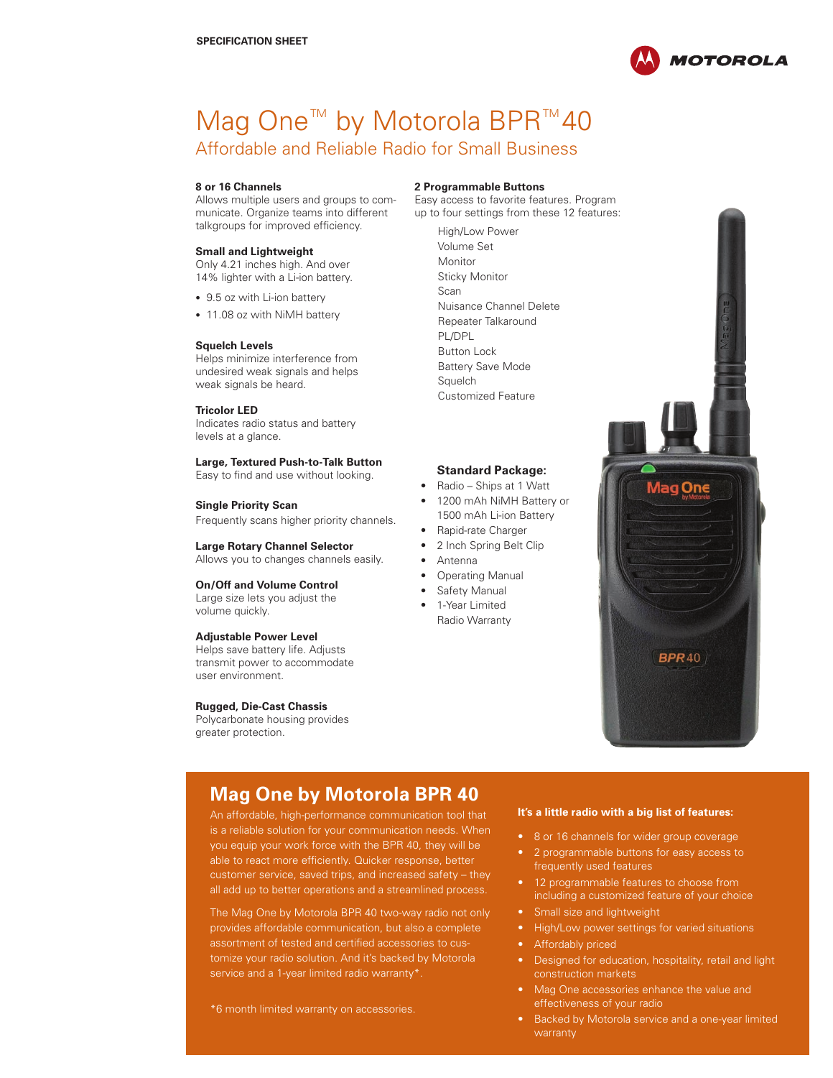

# Mag One<sup>™</sup> by Motorola BPR<sup>™</sup>40 Affordable and Reliable Radio for Small Business

#### **8 or 16 Channels**

Allows multiple users and groups to communicate. Organize teams into different talkgroups for improved efficiency.

#### **Small and Lightweight**

Only 4.21 inches high. And over 14% lighter with a Li-ion battery.

- 9.5 oz with Li-ion battery
- 11.08 oz with NiMH battery

#### **Squelch Levels**

Helps minimize interference from undesired weak signals and helps weak signals be heard.

#### **Tricolor LED**

Indicates radio status and battery levels at a glance.

**Large, Textured Push-to-Talk Button** Easy to find and use without looking.

#### **Single Priority Scan**

Frequently scans higher priority channels.

**Large Rotary Channel Selector** Allows you to changes channels easily.

**On/Off and Volume Control**  Large size lets you adjust the volume quickly.

#### **Adjustable Power Level**

Helps save battery life. Adjusts transmit power to accommodate user environment.

#### **Rugged, Die-Cast Chassis**

Polycarbonate housing provides greater protection.

#### **2 Programmable Buttons**

Easy access to favorite features. Program up to four settings from these 12 features:

> High/Low Power Volume Set Monitor Sticky Monitor Scan Nuisance Channel Delete Repeater Talkaround PL/DPL Button Lock Battery Save Mode Squelch Customized Feature

### **Standard Package:**

- Radio Ships at 1 Watt
- 1200 mAh NiMH Battery or 1500 mAh Li-ion Battery
- • Rapid-rate Charger
- 2 Inch Spring Belt Clip
- **Antenna**
- **Operating Manual**
- Safety Manual
- 1-Year Limited Radio Warranty

Mag One **BPR**40

## **Mag One by Motorola BPR 40**

An affordable, high-performance communication tool that is a reliable solution for your communication needs. When you equip your work force with the BPR 40, they will be able to react more efficiently. Quicker response, better customer service, saved trips, and increased safety – they all add up to better operations and a streamlined process.

The Mag One by Motorola BPR 40 two-way radio not only provides affordable communication, but also a complete assortment of tested and certified accessories to customize your radio solution. And it's backed by Motorola service and a 1-year limited radio warranty\*.

#### **It's a little radio with a big list of features:**

- • 8 or 16 channels for wider group coverage
- 2 programmable buttons for easy access to frequently used features
- 12 programmable features to choose from including a customized feature of your choice
- Small size and lightweight
- High/Low power settings for varied situations
- Affordably priced
- Designed for education, hospitality, retail and light construction markets
- Mag One accessories enhance the value and effectiveness of your radio
- Backed by Motorola service and a one-year limited